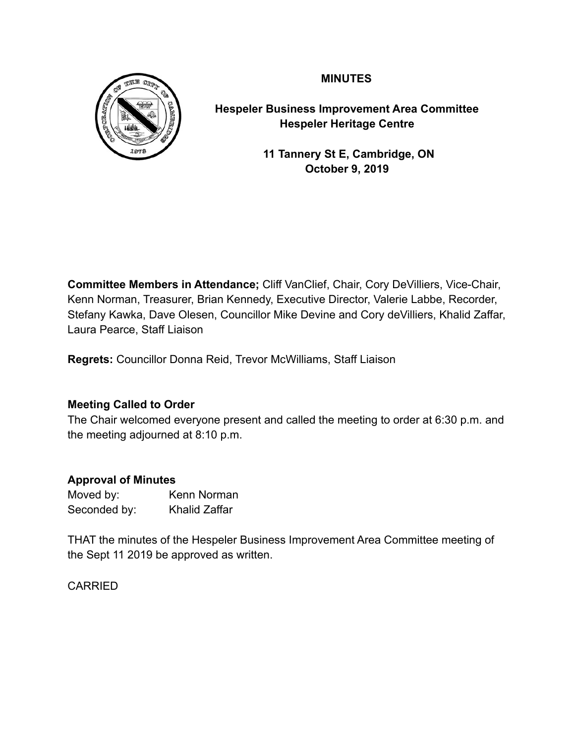# **MINUTES**



**Hespeler Business Improvement Area Committee Hespeler Heritage Centre** 

> **11 Tannery St E, Cambridge, ON October 9, 2019**

**Committee Members in Attendance;** Cliff VanClief, Chair, Cory DeVilliers, Vice-Chair, Kenn Norman, Treasurer, Brian Kennedy, Executive Director, Valerie Labbe, Recorder, Stefany Kawka, Dave Olesen, Councillor Mike Devine and Cory deVilliers, Khalid Zaffar, Laura Pearce, Staff Liaison

**Regrets:** Councillor Donna Reid, Trevor McWilliams, Staff Liaison

## **Meeting Called to Order**

The Chair welcomed everyone present and called the meeting to order at 6:30 p.m. and the meeting adjourned at 8:10 p.m.

## **Approval of Minutes**

| Moved by:    | Kenn Norman          |
|--------------|----------------------|
| Seconded by: | <b>Khalid Zaffar</b> |

THAT the minutes of the Hespeler Business Improvement Area Committee meeting of the Sept 11 2019 be approved as written.

CARRIED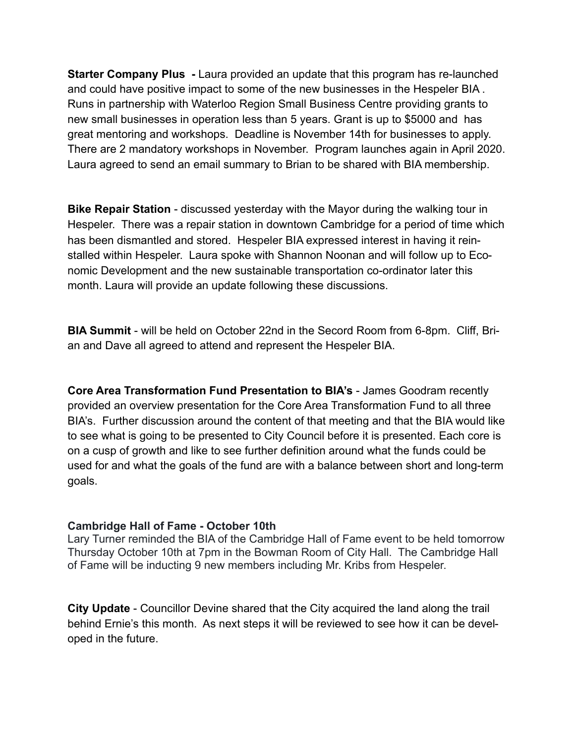**Starter Company Plus -** Laura provided an update that this program has re-launched and could have positive impact to some of the new businesses in the Hespeler BIA . Runs in partnership with Waterloo Region Small Business Centre providing grants to new small businesses in operation less than 5 years. Grant is up to \$5000 and has great mentoring and workshops. Deadline is November 14th for businesses to apply. There are 2 mandatory workshops in November. Program launches again in April 2020. Laura agreed to send an email summary to Brian to be shared with BIA membership.

**Bike Repair Station** - discussed yesterday with the Mayor during the walking tour in Hespeler. There was a repair station in downtown Cambridge for a period of time which has been dismantled and stored. Hespeler BIA expressed interest in having it reinstalled within Hespeler. Laura spoke with Shannon Noonan and will follow up to Economic Development and the new sustainable transportation co-ordinator later this month. Laura will provide an update following these discussions.

**BIA Summit** - will be held on October 22nd in the Secord Room from 6-8pm. Cliff, Brian and Dave all agreed to attend and represent the Hespeler BIA.

**Core Area Transformation Fund Presentation to BIA's** - James Goodram recently provided an overview presentation for the Core Area Transformation Fund to all three BIA's. Further discussion around the content of that meeting and that the BIA would like to see what is going to be presented to City Council before it is presented. Each core is on a cusp of growth and like to see further definition around what the funds could be used for and what the goals of the fund are with a balance between short and long-term goals.

#### **Cambridge Hall of Fame - October 10th**

Lary Turner reminded the BIA of the Cambridge Hall of Fame event to be held tomorrow Thursday October 10th at 7pm in the Bowman Room of City Hall. The Cambridge Hall of Fame will be inducting 9 new members including Mr. Kribs from Hespeler.

**City Update** - Councillor Devine shared that the City acquired the land along the trail behind Ernie's this month. As next steps it will be reviewed to see how it can be developed in the future.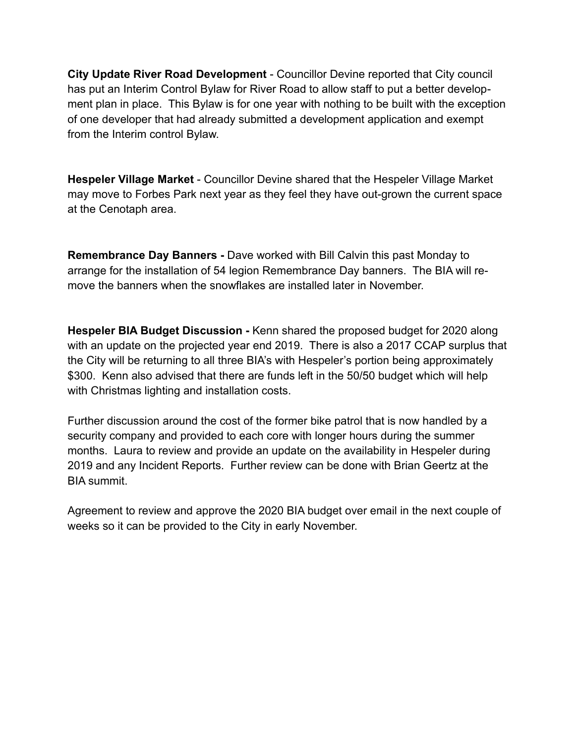**City Update River Road Development** - Councillor Devine reported that City council has put an Interim Control Bylaw for River Road to allow staff to put a better development plan in place. This Bylaw is for one year with nothing to be built with the exception of one developer that had already submitted a development application and exempt from the Interim control Bylaw.

**Hespeler Village Market** - Councillor Devine shared that the Hespeler Village Market may move to Forbes Park next year as they feel they have out-grown the current space at the Cenotaph area.

**Remembrance Day Banners -** Dave worked with Bill Calvin this past Monday to arrange for the installation of 54 legion Remembrance Day banners. The BIA will remove the banners when the snowflakes are installed later in November.

**Hespeler BIA Budget Discussion -** Kenn shared the proposed budget for 2020 along with an update on the projected year end 2019. There is also a 2017 CCAP surplus that the City will be returning to all three BIA's with Hespeler's portion being approximately \$300. Kenn also advised that there are funds left in the 50/50 budget which will help with Christmas lighting and installation costs.

Further discussion around the cost of the former bike patrol that is now handled by a security company and provided to each core with longer hours during the summer months. Laura to review and provide an update on the availability in Hespeler during 2019 and any Incident Reports. Further review can be done with Brian Geertz at the BIA summit.

Agreement to review and approve the 2020 BIA budget over email in the next couple of weeks so it can be provided to the City in early November.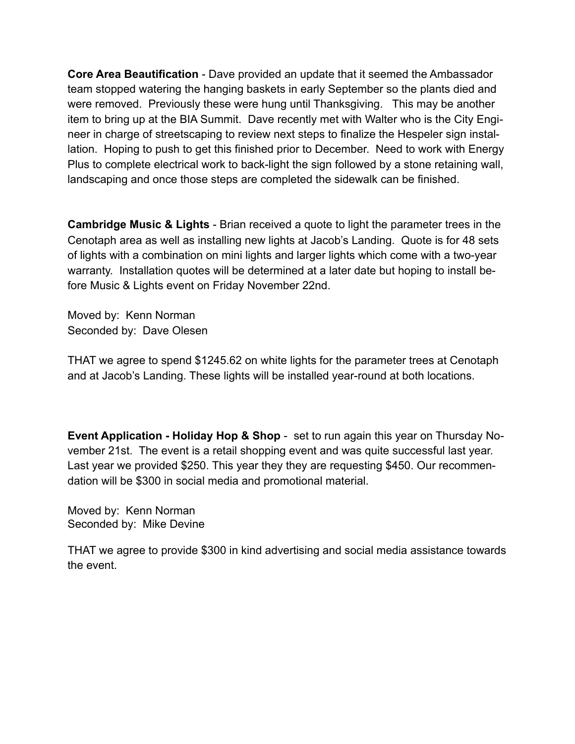**Core Area Beautification** - Dave provided an update that it seemed the Ambassador team stopped watering the hanging baskets in early September so the plants died and were removed. Previously these were hung until Thanksgiving. This may be another item to bring up at the BIA Summit. Dave recently met with Walter who is the City Engineer in charge of streetscaping to review next steps to finalize the Hespeler sign installation. Hoping to push to get this finished prior to December. Need to work with Energy Plus to complete electrical work to back-light the sign followed by a stone retaining wall, landscaping and once those steps are completed the sidewalk can be finished.

**Cambridge Music & Lights** - Brian received a quote to light the parameter trees in the Cenotaph area as well as installing new lights at Jacob's Landing. Quote is for 48 sets of lights with a combination on mini lights and larger lights which come with a two-year warranty. Installation quotes will be determined at a later date but hoping to install before Music & Lights event on Friday November 22nd.

Moved by: Kenn Norman Seconded by: Dave Olesen

THAT we agree to spend \$1245.62 on white lights for the parameter trees at Cenotaph and at Jacob's Landing. These lights will be installed year-round at both locations.

**Event Application - Holiday Hop & Shop** - set to run again this year on Thursday November 21st. The event is a retail shopping event and was quite successful last year. Last year we provided \$250. This year they they are requesting \$450. Our recommendation will be \$300 in social media and promotional material.

Moved by: Kenn Norman Seconded by: Mike Devine

THAT we agree to provide \$300 in kind advertising and social media assistance towards the event.